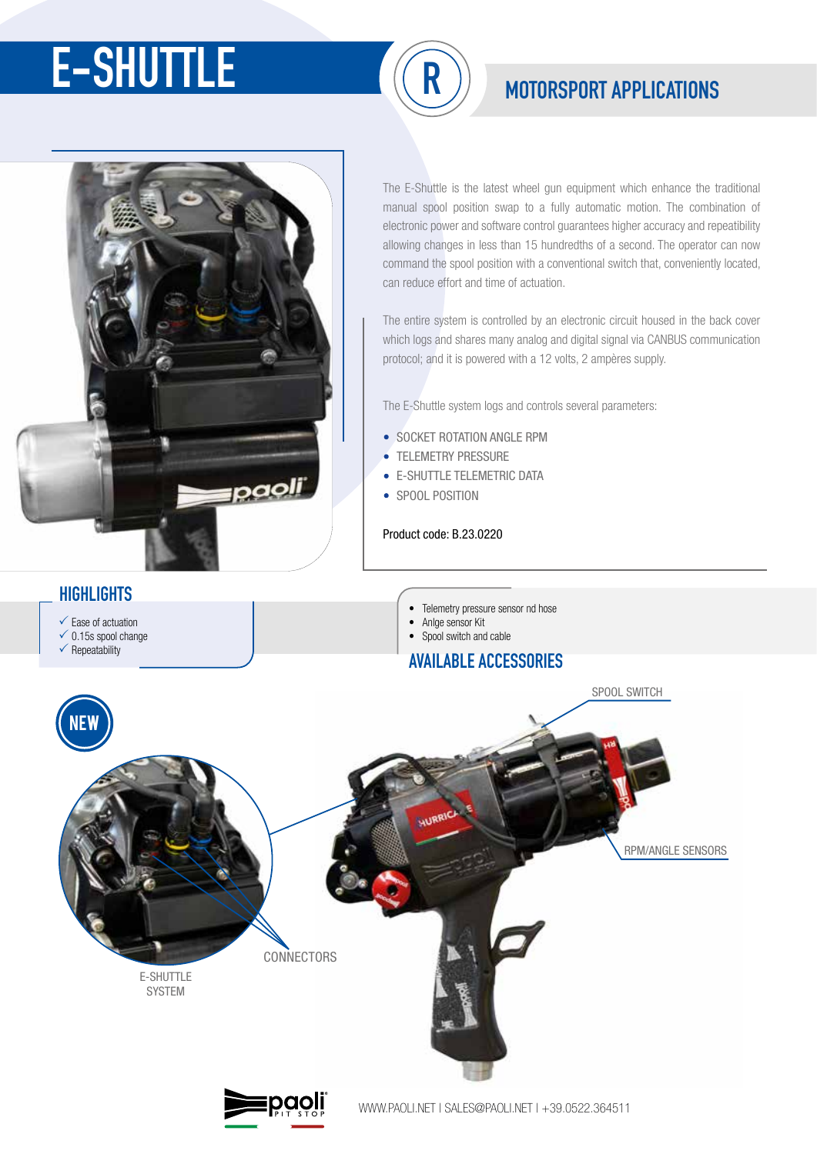# **E-SHUTTLE**  $(\widehat{\mathsf{R}})$  **MOTORSPORT APPLICATIONS**





## **HIGHLIGHTS**

The E-Shuttle is the latest wheel gun equipment which enhance the traditional manual spool position swap to a fully automatic motion. The combination of electronic power and software control guarantees higher accuracy and repeatibility allowing changes in less than 15 hundredths of a second. The operator can now command the spool position with a conventional switch that, conveniently located, can reduce effort and time of actuation.

The entire system is controlled by an electronic circuit housed in the back cover which logs and shares many analog and digital signal via CANBUS communication protocol; and it is powered with a 12 volts, 2 ampères supply.

The E-Shuttle system logs and controls several parameters:

- SOCKET ROTATION ANGLE RPM
- TELEMETRY PRESSURE
- E-SHUTTLE TELEMETRIC DATA
- SPOOL POSITION

### Product code: B.23.0220

SPOOL SWITCH E-SHUTTLE **SVSTEM** RPM/ANGLE SENSORS **CONNECTORS AVAILABLE ACCESSORIES** Ease of actuation  $\checkmark$  0.15s spool change  $\checkmark$  Repeatability • Telemetry pressure sensor nd hose • Anlge sensor Kit • Spool switch and cable NEW



WWW.PAOLI.NET | SALES@PAOLI.NET | +39.0522.364511